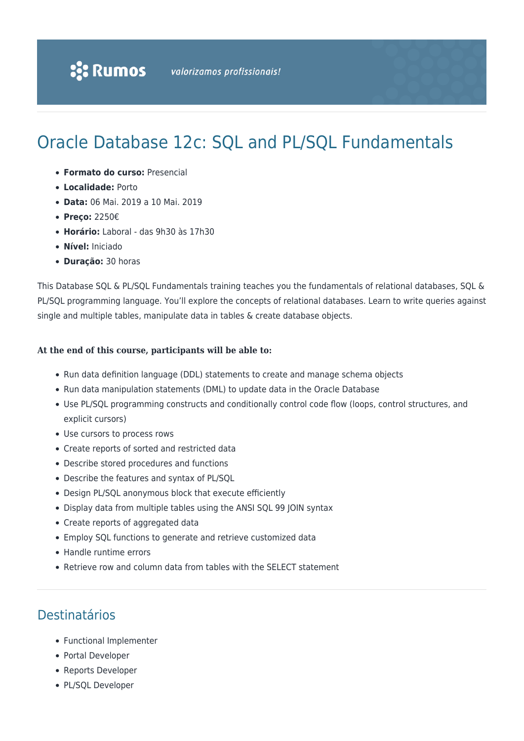# Oracle Database 12c: SQL and PL/SQL Fundamentals

- **Formato do curso:** Presencial
- **Localidade:** Porto
- **Data:** 06 Mai. 2019 a 10 Mai. 2019
- **Preço:** 2250€
- **Horário:** Laboral das 9h30 às 17h30
- **Nível:** Iniciado
- **Duração:** 30 horas

This Database SQL & PL/SQL Fundamentals training teaches you the fundamentals of relational databases, SQL & PL/SQL programming language. You'll explore the concepts of relational databases. Learn to write queries against single and multiple tables, manipulate data in tables & create database objects.

#### **At the end of this course, participants will be able to:**

- Run data definition language (DDL) statements to create and manage schema objects
- Run data manipulation statements (DML) to update data in the Oracle Database
- Use PL/SQL programming constructs and conditionally control code flow (loops, control structures, and explicit cursors)
- Use cursors to process rows
- Create reports of sorted and restricted data
- Describe stored procedures and functions
- Describe the features and syntax of PL/SQL
- Design PL/SQL anonymous block that execute efficiently
- Display data from multiple tables using the ANSI SQL 99 JOIN syntax
- Create reports of aggregated data
- Employ SQL functions to generate and retrieve customized data
- Handle runtime errors
- Retrieve row and column data from tables with the SELECT statement

### Destinatários

- Functional Implementer
- Portal Developer
- Reports Developer
- PL/SQL Developer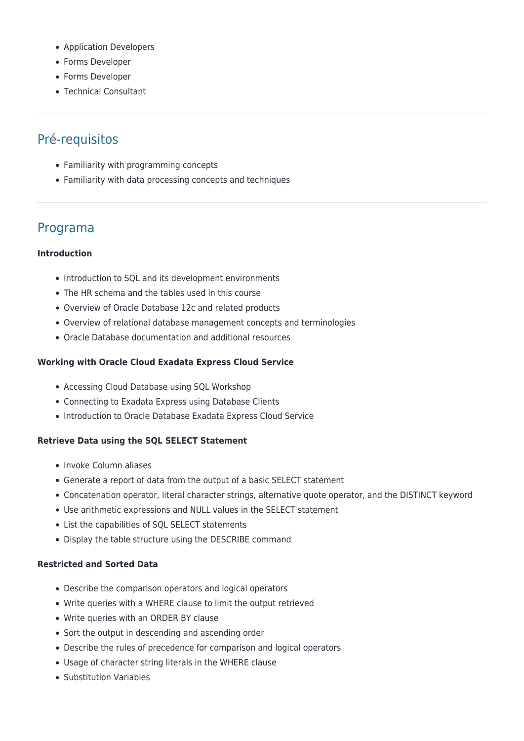- Application Developers
- Forms Developer
- Forms Developer
- Technical Consultant

# Pré-requisitos

- Familiarity with programming concepts
- Familiarity with data processing concepts and techniques

## Programa

#### **Introduction**

- Introduction to SQL and its development environments
- The HR schema and the tables used in this course
- Overview of Oracle Database 12c and related products
- Overview of relational database management concepts and terminologies
- Oracle Database documentation and additional resources

#### **Working with Oracle Cloud Exadata Express Cloud Service**

- Accessing Cloud Database using SQL Workshop
- Connecting to Exadata Express using Database Clients
- Introduction to Oracle Database Exadata Express Cloud Service

#### **Retrieve Data using the SQL SELECT Statement**

- Invoke Column aliases
- Generate a report of data from the output of a basic SELECT statement
- Concatenation operator, literal character strings, alternative quote operator, and the DISTINCT keyword
- Use arithmetic expressions and NULL values in the SELECT statement
- List the capabilities of SQL SELECT statements
- Display the table structure using the DESCRIBE command

#### **Restricted and Sorted Data**

- Describe the comparison operators and logical operators
- Write queries with a WHERE clause to limit the output retrieved
- Write queries with an ORDER BY clause
- Sort the output in descending and ascending order
- Describe the rules of precedence for comparison and logical operators
- Usage of character string literals in the WHERE clause
- Substitution Variables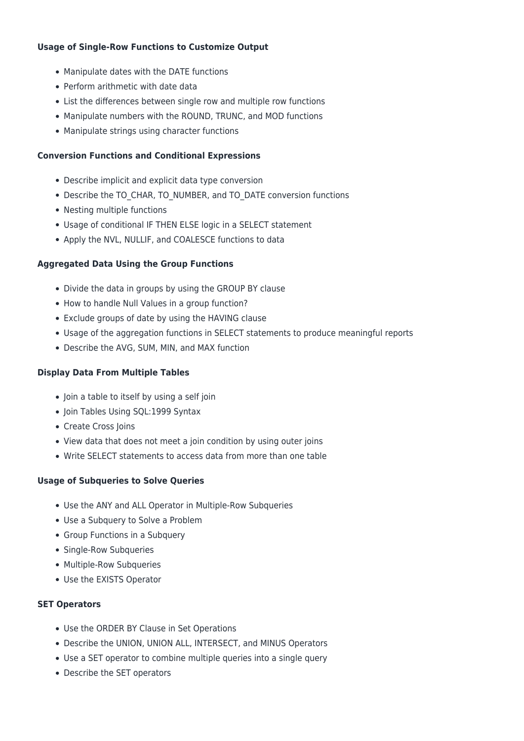#### **Usage of Single-Row Functions to Customize Output**

- Manipulate dates with the DATE functions
- Perform arithmetic with date data
- List the differences between single row and multiple row functions
- Manipulate numbers with the ROUND, TRUNC, and MOD functions
- Manipulate strings using character functions

#### **Conversion Functions and Conditional Expressions**

- Describe implicit and explicit data type conversion
- Describe the TO\_CHAR, TO\_NUMBER, and TO\_DATE conversion functions
- Nesting multiple functions
- Usage of conditional IF THEN ELSE logic in a SELECT statement
- Apply the NVL, NULLIF, and COALESCE functions to data

#### **Aggregated Data Using the Group Functions**

- Divide the data in groups by using the GROUP BY clause
- How to handle Null Values in a group function?
- Exclude groups of date by using the HAVING clause
- Usage of the aggregation functions in SELECT statements to produce meaningful reports
- Describe the AVG, SUM, MIN, and MAX function

#### **Display Data From Multiple Tables**

- Join a table to itself by using a self join
- Join Tables Using SQL:1999 Syntax
- Create Cross Joins
- View data that does not meet a join condition by using outer joins
- Write SELECT statements to access data from more than one table

#### **Usage of Subqueries to Solve Queries**

- Use the ANY and ALL Operator in Multiple-Row Subqueries
- Use a Subquery to Solve a Problem
- Group Functions in a Subquery
- Single-Row Subqueries
- Multiple-Row Subqueries
- Use the EXISTS Operator

#### **SET Operators**

- Use the ORDER BY Clause in Set Operations
- Describe the UNION, UNION ALL, INTERSECT, and MINUS Operators
- Use a SET operator to combine multiple queries into a single query
- Describe the SET operators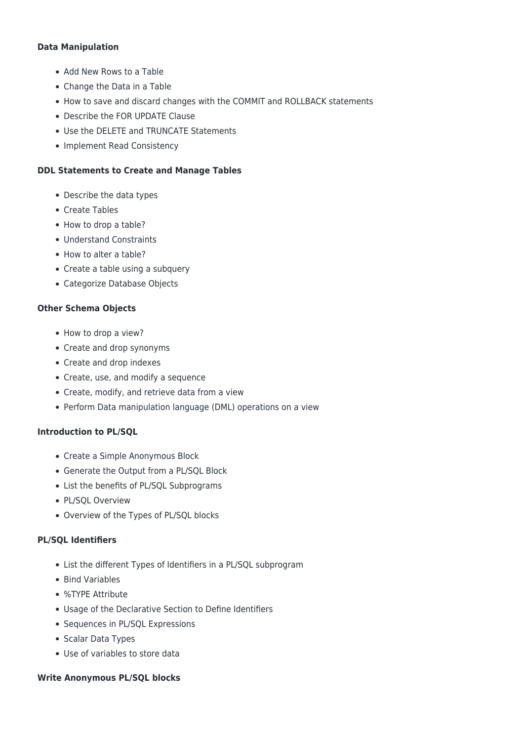#### **Data Manipulation**

- Add New Rows to a Table
- Change the Data in a Table
- How to save and discard changes with the COMMIT and ROLLBACK statements
- Describe the FOR UPDATE Clause
- Use the DELETE and TRUNCATE Statements
- Implement Read Consistency

#### **DDL Statements to Create and Manage Tables**

- Describe the data types
- Create Tables
- How to drop a table?
- Understand Constraints
- How to alter a table?
- Create a table using a subquery
- Categorize Database Objects

#### **Other Schema Objects**

- How to drop a view?
- Create and drop synonyms
- Create and drop indexes
- Create, use, and modify a sequence
- Create, modify, and retrieve data from a view
- Perform Data manipulation language (DML) operations on a view

#### **Introduction to PL/SQL**

- Create a Simple Anonymous Block
- Generate the Output from a PL/SQL Block
- List the benefits of PL/SQL Subprograms
- PL/SQL Overview
- Overview of the Types of PL/SQL blocks

#### **PL/SQL Identifiers**

- List the different Types of Identifiers in a PL/SQL subprogram
- Bind Variables
- %TYPE Attribute
- Usage of the Declarative Section to Define Identifiers
- Sequences in PL/SQL Expressions
- Scalar Data Types
- Use of variables to store data

#### **Write Anonymous PL/SQL blocks**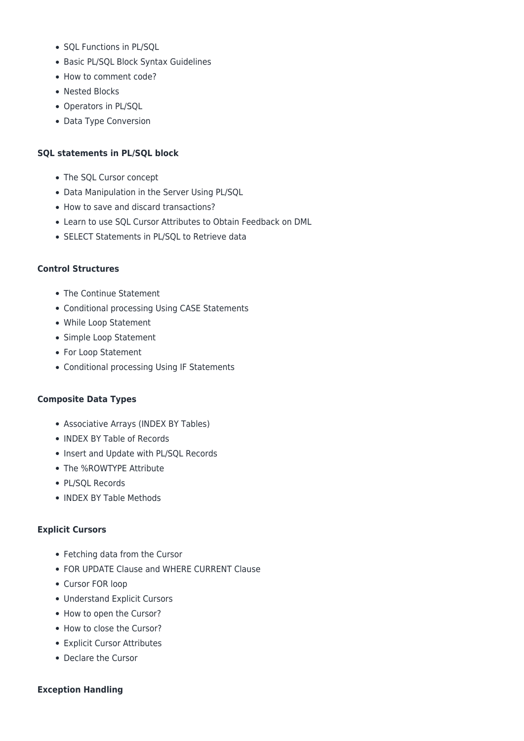- SOL Functions in PL/SOL
- Basic PL/SQL Block Syntax Guidelines
- How to comment code?
- Nested Blocks
- Operators in PL/SQL
- Data Type Conversion

#### **SQL statements in PL/SQL block**

- The SQL Cursor concept
- Data Manipulation in the Server Using PL/SQL
- How to save and discard transactions?
- Learn to use SQL Cursor Attributes to Obtain Feedback on DML
- SELECT Statements in PL/SOL to Retrieve data

#### **Control Structures**

- The Continue Statement
- Conditional processing Using CASE Statements
- While Loop Statement
- Simple Loop Statement
- For Loop Statement
- Conditional processing Using IF Statements

#### **Composite Data Types**

- Associative Arrays (INDEX BY Tables)
- INDEX BY Table of Records
- Insert and Update with PL/SQL Records
- The %ROWTYPE Attribute
- PL/SQL Records
- INDEX BY Table Methods

#### **Explicit Cursors**

- Fetching data from the Cursor
- FOR UPDATE Clause and WHERE CURRENT Clause
- Cursor FOR loop
- Understand Explicit Cursors
- How to open the Cursor?
- How to close the Cursor?
- Explicit Cursor Attributes
- Declare the Cursor

#### **Exception Handling**